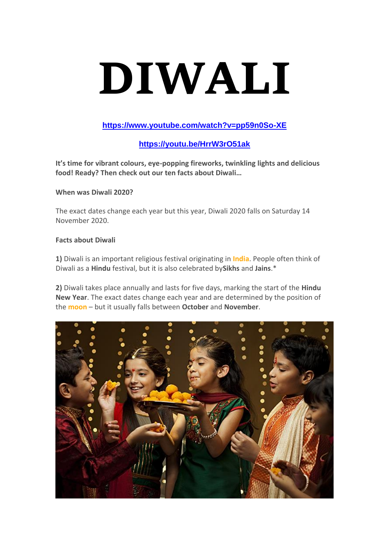# **DIWALI**

## **<https://www.youtube.com/watch?v=pp59n0So-XE>**

# **<https://youtu.be/HrrW3rO51ak>**

**It's time for vibrant colours, eye-popping fireworks, twinkling lights and delicious food! Ready? Then check out our ten facts about Diwali…**

### **When was Diwali 2020?**

The exact dates change each year but this year, Diwali 2020 falls on Saturday 14 November 2020.

### **Facts about Diwali**

**1)** Diwali is an important religious festival originating in **[India](https://www.natgeokids.com/uk/discover/geography/countries/country-fact-file-india/)**. People often think of Diwali as a **Hindu** festival, but it is also celebrated by**Sikhs** and **Jains**.\*

**2)** Diwali takes place annually and lasts for five days, marking the start of the **Hindu New Year**. The exact dates change each year and are determined by the position of the **[moon](https://www.natgeokids.com/uk/discover/science/space/facts-about-the-moon/)** – but it usually falls between **October** and **November**.

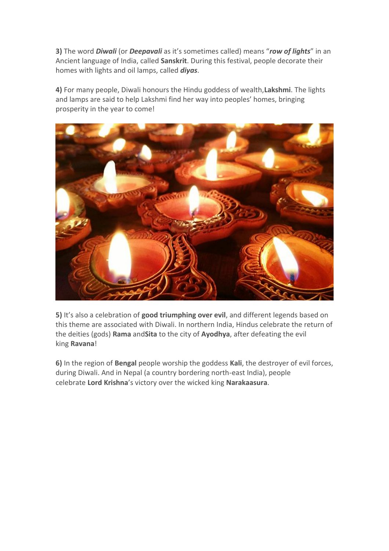**3)** The word *Diwali* (or *Deepavali* as it's sometimes called) means "*row of lights*" in an Ancient language of India, called **Sanskrit**. During this festival, people decorate their homes with lights and oil lamps, called *diyas*.

**4)** For many people, Diwali honours the Hindu goddess of wealth,**Lakshmi**. The lights and lamps are said to help Lakshmi find her way into peoples' homes, bringing prosperity in the year to come!



**5)** It's also a celebration of **good triumphing over evil**, and different legends based on this theme are associated with Diwali. In northern India, Hindus celebrate the return of the deities (gods) **Rama** and**Sita** to the city of **Ayodhya**, after defeating the evil king **Ravana**!

**6)** In the region of **Bengal** people worship the goddess **Kali**, the destroyer of evil forces, during Diwali. And in Nepal (a country bordering north-east India), people celebrate **Lord Krishna**'s victory over the wicked king **Narakaasura**.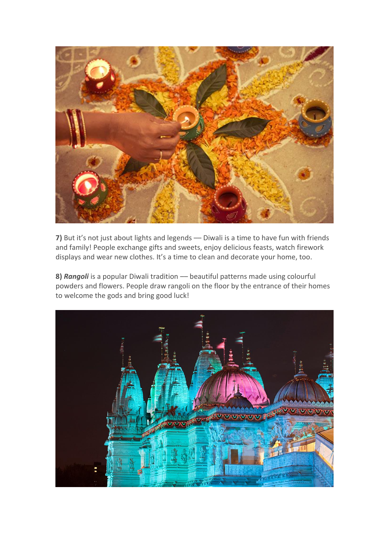

7) But it's not just about lights and legends - Diwali is a time to have fun with friends and family! People exchange gifts and sweets, enjoy delicious feasts, watch firework displays and wear new clothes. It's a time to clean and decorate your home, too.

**8)** *Rangoli* is a popular Diwali tradition –– beautiful patterns made using colourful powders and flowers. People draw rangoli on the floor by the entrance of their homes to welcome the gods and bring good luck!